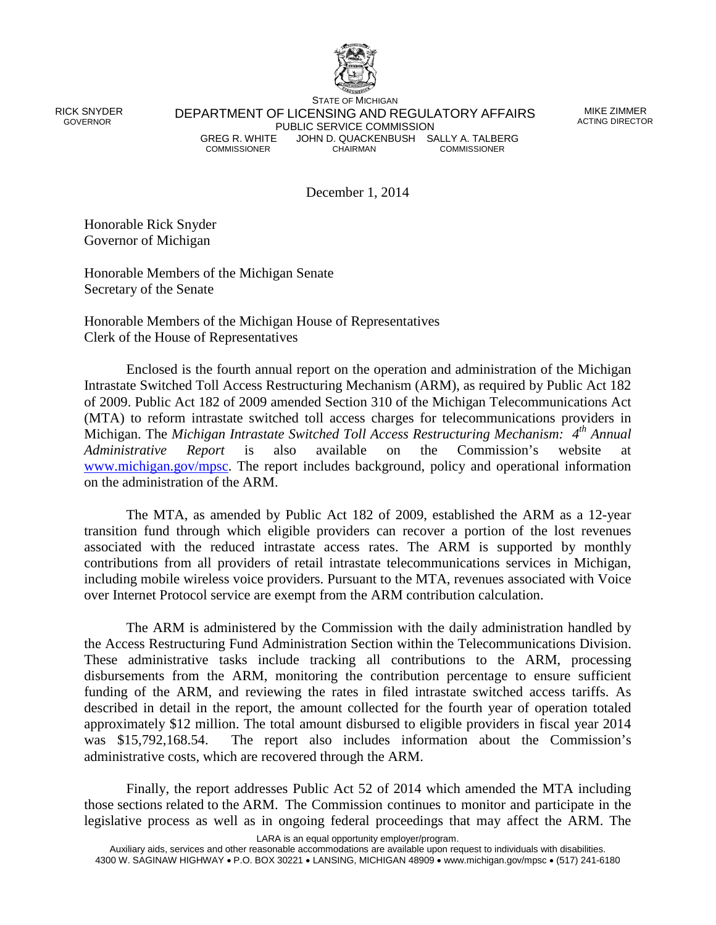

 RICK SNYDER GOVERNOR

STATE OF MICHIGAN DEPARTMENT OF LICENSING AND REGULATORY AFFAIRS PUBLIC SERVICE COMMISSION<br>GREG R. WHITE JOHN D. QUACKENBUSH SA GREG R. WHITE JOHN D. QUACKENBUSH SALLY A. TALBERG<br>COMMISSIONER COMMISSIONER **COMMISSIONER** 

MIKE ZIMMER ACTING DIRECTOR

December 1, 2014

Honorable Rick Snyder Governor of Michigan

Honorable Members of the Michigan Senate Secretary of the Senate

Honorable Members of the Michigan House of Representatives Clerk of the House of Representatives

Enclosed is the fourth annual report on the operation and administration of the Michigan Intrastate Switched Toll Access Restructuring Mechanism (ARM), as required by Public Act 182 of 2009. Public Act 182 of 2009 amended Section 310 of the Michigan Telecommunications Act (MTA) to reform intrastate switched toll access charges for telecommunications providers in Michigan. The *Michigan Intrastate Switched Toll Access Restructuring Mechanism: 4th Annual Administrative Report* is also available on the Commission's website at [www.michigan.gov/mpsc.](http://www.michigan.gov/mpsc) The report includes background, policy and operational information on the administration of the ARM.

The MTA, as amended by Public Act 182 of 2009, established the ARM as a 12-year transition fund through which eligible providers can recover a portion of the lost revenues associated with the reduced intrastate access rates. The ARM is supported by monthly contributions from all providers of retail intrastate telecommunications services in Michigan, including mobile wireless voice providers. Pursuant to the MTA, revenues associated with Voice over Internet Protocol service are exempt from the ARM contribution calculation.

The ARM is administered by the Commission with the daily administration handled by the Access Restructuring Fund Administration Section within the Telecommunications Division. These administrative tasks include tracking all contributions to the ARM, processing disbursements from the ARM, monitoring the contribution percentage to ensure sufficient funding of the ARM, and reviewing the rates in filed intrastate switched access tariffs. As described in detail in the report, the amount collected for the fourth year of operation totaled approximately \$12 million. The total amount disbursed to eligible providers in fiscal year 2014 was \$15,792,168.54. The report also includes information about the Commission's administrative costs, which are recovered through the ARM.

Finally, the report addresses Public Act 52 of 2014 which amended the MTA including those sections related to the ARM. The Commission continues to monitor and participate in the legislative process as well as in ongoing federal proceedings that may affect the ARM. The

LARA is an equal opportunity employer/program.